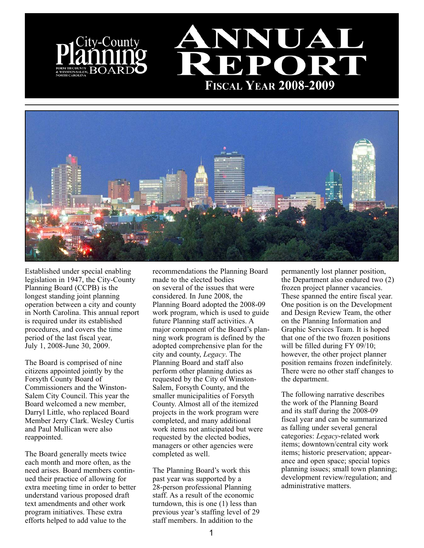



Established under special enabling legislation in 1947, the City-County Planning Board (CCPB) is the longest standing joint planning operation between a city and county in North Carolina. This annual report is required under its established procedures, and covers the time period of the last fiscal year, July 1, 2008-June 30, 2009.

The Board is comprised of nine citizens appointed jointly by the Forsyth County Board of Commissioners and the Winston-Salem City Council. This year the Board welcomed a new member, Darryl Little, who replaced Board Member Jerry Clark. Wesley Curtis and Paul Mullican were also reappointed.

The Board generally meets twice each month and more often, as the need arises. Board members continued their practice of allowing for extra meeting time in order to better understand various proposed draft text amendments and other work program initiatives. These extra efforts helped to add value to the

recommendations the Planning Board made to the elected bodies on several of the issues that were considered. In June 2008, the Planning Board adopted the 2008-09 work program, which is used to guide future Planning staff activities. A major component of the Board's planning work program is defined by the adopted comprehensive plan for the city and county, *Legacy*. The Planning Board and staff also perform other planning duties as requested by the City of Winston-Salem, Forsyth County, and the smaller municipalities of Forsyth County. Almost all of the itemized projects in the work program were completed, and many additional work items not anticipated but were requested by the elected bodies, managers or other agencies were completed as well.

The Planning Board's work this past year was supported by a 28-person professional Planning staff. As a result of the economic turndown, this is one (1) less than previous year's staffing level of 29 staff members. In addition to the

permanently lost planner position, the Department also endured two (2) frozen project planner vacancies. These spanned the entire fiscal year. One position is on the Development and Design Review Team, the other on the Planning Information and Graphic Services Team. It is hoped that one of the two frozen positions will be filled during FY 09/10; however, the other project planner position remains frozen indefinitely. There were no other staff changes to the department.

The following narrative describes the work of the Planning Board and its staff during the 2008-09 fiscal year and can be summarized as falling under several general categories: *Legacy*-related work items; downtown/central city work items; historic preservation; appearance and open space; special topics planning issues; small town planning; development review/regulation; and administrative matters.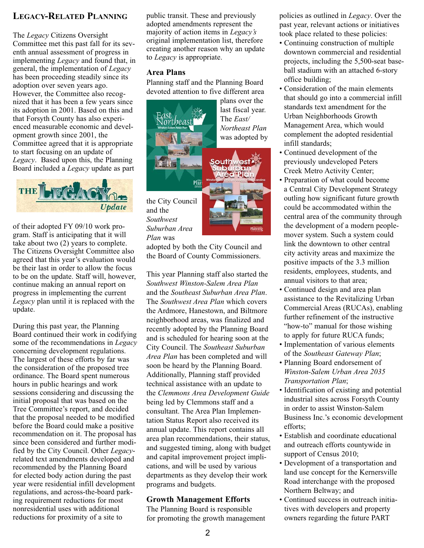## **LEGACY-RELATED PLANNING**

The *Legacy* Citizens Oversight Committee met this past fall for its seventh annual assessment of progress in implementing *Legacy* and found that, in general, the implementation of *Legacy* has been proceeding steadily since its adoption over seven years ago. However, the Committee also recognized that it has been a few years since its adoption in 2001. Based on this and that Forsyth County has also experienced measurable economic and development growth since 2001, the Committee agreed that it is appropriate to start focusing on an update of *Legacy*. Based upon this, the Planning Board included a *Legacy* update as part



of their adopted FY 09/10 work program. Staff is anticipating that it will take about two (2) years to complete. The Citizens Oversight Committee also agreed that this year's evaluation would be their last in order to allow the focus to be on the update. Staff will, however, continue making an annual report on progress in implementing the current *Legacy* plan until it is replaced with the update.

During this past year, the Planning Board continued their work in codifying some of the recommendations in *Legacy* concerning development regulations. The largest of these efforts by far was the consideration of the proposed tree ordinance. The Board spent numerous hours in public hearings and work sessions considering and discussing the initial proposal that was based on the Tree Committee's report, and decided that the proposal needed to be modified before the Board could make a positive recommendation on it. The proposal has since been considered and further modified by the City Council. Other *Legacy*related text amendments developed and recommended by the Planning Board for elected body action during the past year were residential infill development regulations, and across-the-board parking requirement reductions for most nonresidential uses with additional reductions for proximity of a site to

public transit. These and previously adopted amendments represent the majority of action items in *Legacy's* original implementation list, therefore creating another reason why an update to *Legacy* is appropriate.

#### **Area Plans**

Planning staff and the Planning Board devoted attention to five different area



and the *Southwest Suburban Area Plan* was

adopted by both the City Council and the Board of County Commissioners.

This year Planning staff also started the *Southwest Winston-Salem Area Plan* and the *Southeast Suburban Area Plan*. The *Southwest Area Plan* which covers the Ardmore, Hanestown, and Biltmore neighborhood areas, was finalized and recently adopted by the Planning Board and is scheduled for hearing soon at the City Council. The *Southeast Suburban Area Plan* has been completed and will soon be heard by the Planning Board. Additionally, Planning staff provided technical assistance with an update to the *Clemmons Area Development Guide* being led by Clemmons staff and a consultant. The Area Plan Implementation Status Report also received its annual update. This report contains all area plan recommendations, their status, and suggested timing, along with budget and capital improvement project implications, and will be used by various departments as they develop their work programs and budgets.

#### **Growth Management Efforts**

The Planning Board is responsible for promoting the growth management policies as outlined in *Legacy*. Over the past year, relevant actions or initiatives took place related to these policies:

- Continuing construction of multiple downtown commercial and residential projects, including the 5,500-seat baseball stadium with an attached 6-story office building;
- Consideration of the main elements that should go into a commercial infill standards text amendment for the Urban Neighborhoods Growth Management Area, which would complement the adopted residential infill standards;
- Continued development of the previously undeveloped Peters Creek Metro Activity Center;
- Preparation of what could become a Central City Development Strategy outling how significant future growth could be accommodated within the central area of the community through the development of a modern peoplemover system. Such a system could link the downtown to other central city activity areas and maximize the positive impacts of the 3.3 million residents, employees, students, and annual visitors to that area;
- Continued design and area plan assistance to the Revitalizing Urban Commercial Areas (RUCAs), enabling further refinement of the instructive "how-to" manual for those wishing to apply for future RUCA funds;
- Implementation of various elements of the *Southeast Gateway Plan*;
- Planning Board endorsement of *Winston-Salem Urban Area 2035 Transportation Plan*;
- Identification of existing and potential industrial sites across Forsyth County in order to assist Winston-Salem Business Inc.'s economic development efforts;
- Establish and coordinate educational and outreach efforts countywide in support of Census 2010;
- Development of a transportation and land use concept for the Kernersville Road interchange with the proposed Northern Beltway; and
- Continued success in outreach initiatives with developers and property owners regarding the future PART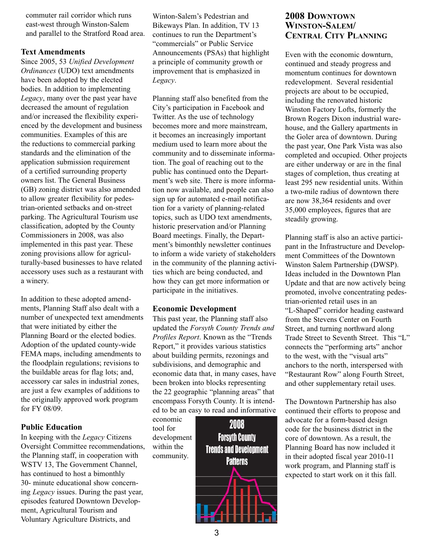commuter rail corridor which runs east-west through Winston-Salem and parallel to the Stratford Road area.

#### **Text Amendments**

Since 2005, 53 *Unified Development Ordinances* (UDO) text amendments have been adopted by the elected bodies. In addition to implementing *Legacy*, many over the past year have decreased the amount of regulation and/or increased the flexibility experienced by the development and business communities. Examples of this are the reductions to commercial parking standards and the elimination of the application submission requirement of a certified surrounding property owners list. The General Business (GB) zoning district was also amended to allow greater flexibility for pedestrian-oriented setbacks and on-street parking. The Agricultural Tourism use classification, adopted by the County Commissioners in 2008, was also implemented in this past year. These zoning provisions allow for agriculturally-based businesses to have related accessory uses such as a restaurant with a winery.

In addition to these adopted amendments, Planning Staff also dealt with a number of unexpected text amendments that were initiated by either the Planning Board or the elected bodies. Adoption of the updated county-wide FEMA maps, including amendments to the floodplain regulations; revisions to the buildable areas for flag lots; and, accessory car sales in industrial zones, are just a few examples of additions to the originally approved work program for FY 08/09.

#### **Public Education**

In keeping with the *Legacy* Citizens Oversight Committee recommendations, the Planning staff, in cooperation with WSTV 13, The Government Channel, has continued to host a bimonthly 30- minute educational show concerning *Legacy* issues. During the past year, episodes featured Downtown Development, Agricultural Tourism and Voluntary Agriculture Districts, and

Winton-Salem's Pedestrian and Bikeways Plan. In addition, TV 13 continues to run the Department's "commercials" or Public Service Announcements (PSAs) that highlight a principle of community growth or improvement that is emphasized in *Legacy*.

Planning staff also benefited from the City's participation in Facebook and Twitter. As the use of technology becomes more and more mainstream, it becomes an increasingly important medium used to learn more about the community and to disseminate information. The goal of reaching out to the public has continued onto the Department's web site. There is more information now available, and people can also sign up for automated e-mail notification for a variety of planning-related topics, such as UDO text amendments, historic preservation and/or Planning Board meetings. Finally, the Department's bimonthly newsletter continues to inform a wide variety of stakeholders in the community of the planning activities which are being conducted, and how they can get more information or participate in the initiatives.

#### **Economic Development**

This past year, the Planning staff also updated the *Forsyth County Trends and Profiles Report*. Known as the "Trends Report," it provides various statistics about building permits, rezonings and subdivisions, and demographic and economic data that, in many cases, have been broken into blocks representing the 22 geographic "planning areas" that encompass Forsyth County. It is intended to be an easy to read and informative

economic tool for development within the community.



### **2008 DOWNTOWN WINSTON-SALEM/ CENTRAL CITY PLANNING**

Even with the economic downturn, continued and steady progress and momentum continues for downtown redevelopment. Several residential projects are about to be occupied, including the renovated historic Winston Factory Lofts, formerly the Brown Rogers Dixon industrial warehouse, and the Gallery apartments in the Goler area of downtown. During the past year, One Park Vista was also completed and occupied. Other projects are either underway or are in the final stages of completion, thus creating at least 295 new residential units. Within a two-mile radius of downtown there are now 38,364 residents and over 35,000 employees, figures that are steadily growing.

Planning staff is also an active participant in the Infrastructure and Development Committees of the Downtown Winston Salem Partnership (DWSP). Ideas included in the Downtown Plan Update and that are now actively being promoted, involve concentrating pedestrian-oriented retail uses in an "L-Shaped" corridor heading eastward from the Stevens Center on Fourth Street, and turning northward along Trade Street to Seventh Street. This "L" connects the "performing arts" anchor to the west, with the "visual arts" anchors to the north, interspersed with "Restaurant Row" along Fourth Street, and other supplementary retail uses.

The Downtown Partnership has also continued their efforts to propose and advocate for a form-based design code for the business district in the core of downtown. As a result, the Planning Board has now included it in their adopted fiscal year 2010-11 work program, and Planning staff is expected to start work on it this fall.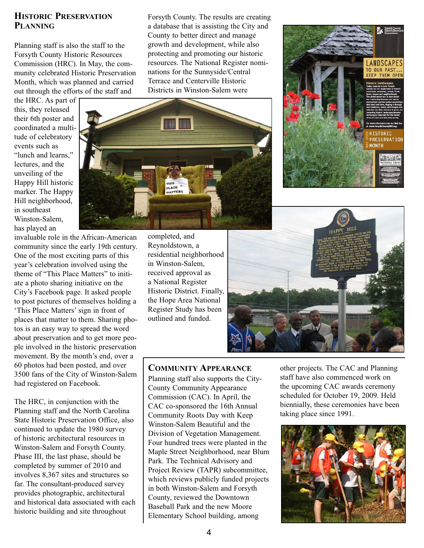### **HISTORIC PRESERVATION PLANNING**

Planning staff is also the staff to the Forsyth County Historic Resources Commission (HRC). In May, the community celebrated Historic Preservation Month, which was planned and carried out through the efforts of the staff and

the HRC. As part of this, they released their 6th poster and coordinated a multitude of celebratory events such as "lunch and learns," lectures, and the unveiling of the Happy Hill historic marker. The Happy Hill neighborhood, in southeast Winston-Salem, has played an

invaluable role in the African-American community since the early 19th century. One of the most exciting parts of this year's celebration involved using the theme of "This Place Matters" to initiate a photo sharing initiative on the City's Facebook page. It asked people to post pictures of themselves holding a 'This Place Matters' sign in front of places that matter to them. Sharing photos is an easy way to spread the word about preservation and to get more people involved in the historic preservation movement. By the month's end, over a 60 photos had been posted, and over 3500 fans of the City of Winston-Salem had registered on Facebook.

The HRC, in conjunction with the Planning staff and the North Carolina State Historic Preservation Office, also continued to update the 1980 survey of historic architectural resources in Winston-Salem and Forsyth County. Phase III, the last phase, should be completed by summer of 2010 and involves 8,367 sites and structures so far. The consultant-produced survey provides photographic, architectural and historical data associated with each historic building and site throughout

Forsyth County. The results are creating a database that is assisting the City and County to better direct and manage growth and development, while also protecting and promoting our historic resources. The National Register nominations for the Sunnyside/Central Terrace and Centerville Historic Districts in Winston-Salem were





## **COMMUNITY APPEARANCE**

Planning staff also supports the City-County Community Appearance Commission (CAC). In April, the CAC co-sponsored the 16th Annual Community Roots Day with Keep Winston-Salem Beautiful and the Division of Vegetation Management. Four hundred trees were planted in the Maple Street Neighborhood, near Blum Park. The Technical Advisory and Project Review (TAPR) subcommittee, which reviews publicly funded projects in both Winston-Salem and Forsyth County, reviewed the Downtown Baseball Park and the new Moore Elementary School building, among





other projects. The CAC and Planning staff have also commenced work on the upcoming CAC awards ceremony scheduled for October 19, 2009. Held biennially, these ceremonies have been taking place since 1991.

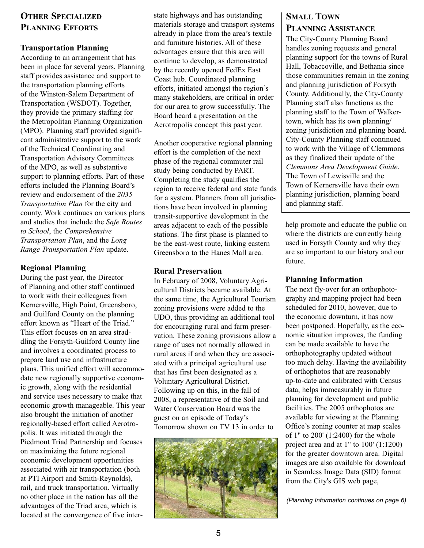## **OTHER SPECIALIZED PLANNING EFFORTS**

#### **Transportation Planning**

According to an arrangement that has been in place for several years, Planning staff provides assistance and support to the transportation planning efforts of the Winston-Salem Department of Transportation (WSDOT). Together, they provide the primary staffing for the Metropolitan Planning Organization (MPO). Planning staff provided significant administrative support to the work of the Technical Coordinating and Transportation Advisory Committees of the MPO, as well as substantive support to planning efforts. Part of these efforts included the Planning Board's review and endorsement of the *2035 Transportation Plan* for the city and county. Work continues on various plans and studies that include the *Safe Routes to School*, the *Comprehensive Transportation Plan*, and the *Long Range Transportation Plan* update.

#### **Regional Planning**

During the past year, the Director of Planning and other staff continued to work with their colleagues from Kernersville, High Point, Greensboro, and Guilford County on the planning effort known as "Heart of the Triad." This effort focuses on an area straddling the Forsyth-Guilford County line and involves a coordinated process to prepare land use and infrastructure plans. This unified effort will accommodate new regionally supportive economic growth, along with the residential and service uses necessary to make that economic growth manageable. This year also brought the initiation of another regionally-based effort called Aerotropolis. It was initiated through the Piedmont Triad Partnership and focuses on maximizing the future regional economic development opportunities associated with air transportation (both at PTI Airport and Smith-Reynolds), rail, and truck transportation. Virtually no other place in the nation has all the advantages of the Triad area, which is located at the convergence of five interstate highways and has outstanding materials storage and transport systems already in place from the area's textile and furniture histories. All of these advantages ensure that this area will continue to develop, as demonstrated by the recently opened FedEx East Coast hub. Coordinated planning efforts, initiated amongst the region's many stakeholders, are critical in order for our area to grow successfully. The Board heard a presentation on the Aerotropolis concept this past year.

Another cooperative regional planning effort is the completion of the next phase of the regional commuter rail study being conducted by PART. Completing the study qualifies the region to receive federal and state funds for a system. Planners from all jurisdictions have been involved in planning transit-supportive development in the areas adjacent to each of the possible stations. The first phase is planned to be the east-west route, linking eastern Greensboro to the Hanes Mall area.

#### **Rural Preservation**

In February of 2008, Voluntary Agricultural Districts became available. At the same time, the Agricultural Tourism zoning provisions were added to the UDO, thus providing an additional tool for encouraging rural and farm preservation. These zoning provisions allow a range of uses not normally allowed in rural areas if and when they are associated with a principal agricultural use that has first been designated as a Voluntary Agricultural District. Following up on this, in the fall of 2008, a representative of the Soil and Water Conservation Board was the guest on an episode of Today's Tomorrow shown on TV 13 in order to



## **SMALL TOWN PLANNING ASSISTANCE**

The City-County Planning Board handles zoning requests and general planning support for the towns of Rural Hall, Tobaccoville, and Bethania since those communities remain in the zoning and planning jurisdiction of Forsyth County. Additionally, the City-County Planning staff also functions as the planning staff to the Town of Walkertown, which has its own planning/ zoning jurisdiction and planning board. City-County Planning staff continued to work with the Village of Clemmons as they finalized their update of the *Clemmons Area Development Guide*. The Town of Lewisville and the Town of Kernersville have their own planning jurisdiction, planning board and planning staff.

help promote and educate the public on where the districts are currently being used in Forsyth County and why they are so important to our history and our future.

#### **Planning Information**

The next fly-over for an orthophotography and mapping project had been scheduled for 2010, however, due to the economic downturn, it has now been postponed. Hopefully, as the economic situation improves, the funding can be made available to have the orthophotography updated without too much delay. Having the availability of orthophotos that are reasonably up-to-date and calibrated with Census data, helps immeasurably in future planning for development and public facilities. The 2005 orthophotos are available for viewing at the Planning Office's zoning counter at map scales of 1" to 200' (1:2400) for the whole project area and at 1" to 100' (1:1200) for the greater downtown area. Digital images are also available for download in Seamless Image Data (SID) format from the City's GIS web page,

*(Planning Information continues on page 6)*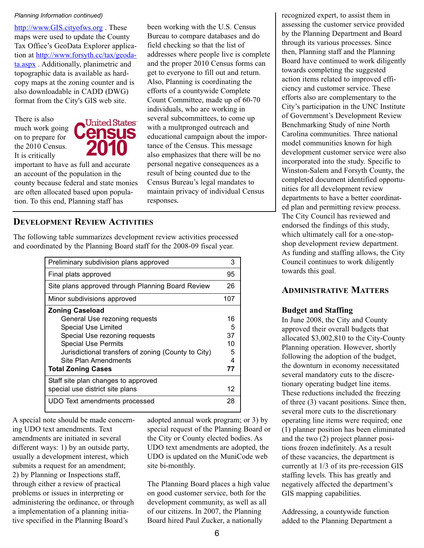#### *Planning Information continued)*

http://www.GIS.cityofws.org . These maps were used to update the County Tax Office's GeoData Explorer application at http://www.forsyth.cc/tax/geodata.aspx . Additionally, planimetric and topographic data is available as hardcopy maps at the zoning counter and is also downloadable in CADD (DWG) format from the City's GIS web site.

There is also much work going on to prepare for the 2010 Census. It is critically



important to have as full and accurate an account of the population in the county because federal and state monies are often allocated based upon population. To this end, Planning staff has

been working with the U.S. Census Bureau to compare databases and do field checking so that the list of addresses where people live is complete and the proper 2010 Census forms can get to everyone to fill out and return. Also, Planning is coordinating the efforts of a countywide Complete Count Committee, made up of 60-70 individuals, who are working in several subcommittees, to come up with a multpronged outreach and educational campaign about the importance of the Census. This message also emphasizes that there will be no personal negative consequences as a result of being counted due to the Census Bureau's legal mandates to maintain privacy of individual Census responses.

### **DEVELOPMENT REVIEW ACTIVITIES**

The following table summarizes development review activities processed and coordinated by the Planning Board staff for the 2008-09 fiscal year.

| Preliminary subdivision plans approved              | 3   |
|-----------------------------------------------------|-----|
| Final plats approved                                | 95  |
| Site plans approved through Planning Board Review   | 26  |
| Minor subdivisions approved                         | 107 |
| <b>Zoning Caseload</b>                              |     |
| General Use rezoning requests                       | 16  |
| Special Use Limited                                 | 5   |
| Special Use rezoning requests                       | 37  |
| <b>Special Use Permits</b>                          | 10  |
| Jurisdictional transfers of zoning (County to City) | 5   |
| Site Plan Amendments                                | 4   |
| <b>Total Zoning Cases</b>                           | 77  |
| Staff site plan changes to approved                 |     |
| special use district site plans                     | 12  |
| UDO Text amendments processed                       | 28  |
|                                                     |     |

A special note should be made concerning UDO text amendments. Text amendments are initiated in several different ways: 1) by an outside party, usually a development interest, which submits a request for an amendment; 2) by Planning or Inspections staff, through either a review of practical problems or issues in interpreting or administering the ordinance, or through a implementation of a planning initiative specified in the Planning Board's

adopted annual work program; or 3) by special request of the Planning Board or the City or County elected bodies. As UDO text amendments are adopted, the UDO is updated on the MuniCode web site bi-monthly.

The Planning Board places a high value on good customer service, both for the development community, as well as all of our citizens. In 2007, the Planning Board hired Paul Zucker, a nationally

recognized expert, to assist them in assessing the customer service provided by the Planning Department and Board through its various processes. Since then, Planning staff and the Planning Board have continued to work diligently towards completing the suggested action items related to improved efficiency and customer service. These efforts also are complementary to the City's participation in the UNC Institute of Government's Development Review Benchmarking Study of nine North Carolina communities. Three national model communities known for high development customer service were also incorporated into the study. Specific to Winston-Salem and Forsyth County, the completed document identified opportunities for all development review departments to have a better coordinated plan and permitting review process. The City Council has reviewed and endorsed the findings of this study, which ultimately call for a one-stopshop development review department. As funding and staffing allows, the City Council continues to work diligently towards this goal.

### **ADMINISTRATIVE MATTERS**

#### **Budget and Staffing**

In June 2008, the City and County approved their overall budgets that allocated \$3,002,810 to the City-County Planning operation. However, shortly following the adoption of the budget, the downturn in economy necessitated several mandatory cuts to the discretionary operating budget line items. These reductions included the freezing of three (3) vacant positions. Since then, several more cuts to the discretionary operating line items were required; one (1) planner position has been eliminated and the two (2) project planner positions frozen indefinitely. As a result of these vacancies, the department is currently at 1/3 of its pre-recession GIS staffing levels. This has greatly and negatively affected the department's GIS mapping capabilities.

Addressing, a countywide function added to the Planning Department a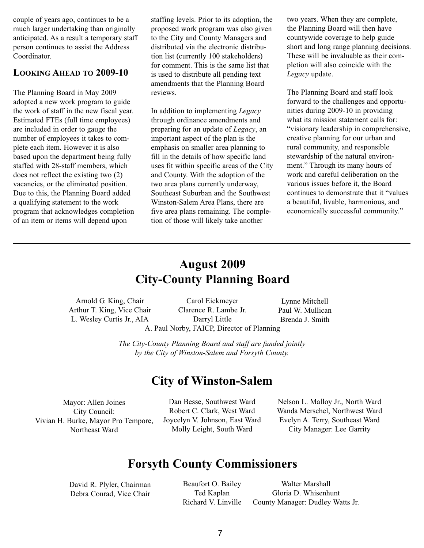couple of years ago, continues to be a much larger undertaking than originally anticipated. As a result a temporary staff person continues to assist the Address Coordinator.

#### **LOOKING AHEAD TO 2009-10**

The Planning Board in May 2009 adopted a new work program to guide the work of staff in the new fiscal year. Estimated FTEs (full time employees) are included in order to gauge the number of employees it takes to complete each item. However it is also based upon the department being fully staffed with 28-staff members, which does not reflect the existing two (2) vacancies, or the eliminated position. Due to this, the Planning Board added a qualifying statement to the work program that acknowledges completion of an item or items will depend upon

staffing levels. Prior to its adoption, the proposed work program was also given to the City and County Managers and distributed via the electronic distribution list (currently 100 stakeholders) for comment. This is the same list that is used to distribute all pending text amendments that the Planning Board reviews.

In addition to implementing *Legacy* through ordinance amendments and preparing for an update of *Legacy*, an important aspect of the plan is the emphasis on smaller area planning to fill in the details of how specific land uses fit within specific areas of the City and County. With the adoption of the two area plans currently underway, Southeast Suburban and the Southwest Winston-Salem Area Plans, there are five area plans remaining. The completion of those will likely take another

two years. When they are complete, the Planning Board will then have countywide coverage to help guide short and long range planning decisions. These will be invaluable as their completion will also coincide with the *Legacy* update.

The Planning Board and staff look forward to the challenges and opportunities during 2009-10 in providing what its mission statement calls for: "visionary leadership in comprehensive, creative planning for our urban and rural community, and responsible stewardship of the natural environment." Through its many hours of work and careful deliberation on the various issues before it, the Board continues to demonstrate that it "values a beautiful, livable, harmonious, and economically successful community."

# **August 2009 City-County Planning Board**

Arnold G. King, Chair Arthur T. King, Vice Chair L. Wesley Curtis Jr., AIA

Carol Eickmeyer Clarence R. Lambe Jr. Darryl Little A. Paul Norby, FAICP, Director of Planning

Lynne Mitchell Paul W. Mullican Brenda J. Smith

*The City-County Planning Board and staff are funded jointly by the City of Winston-Salem and Forsyth County.*

## **City of Winston-Salem**

Mayor: Allen Joines City Council: Vivian H. Burke, Mayor Pro Tempore, Northeast Ward

Dan Besse, Southwest Ward Robert C. Clark, West Ward Joycelyn V. Johnson, East Ward Molly Leight, South Ward

Nelson L. Malloy Jr., North Ward Wanda Merschel, Northwest Ward Evelyn A. Terry, Southeast Ward City Manager: Lee Garrity

# **Forsyth County Commissioners**

David R. Plyler, Chairman Debra Conrad, Vice Chair

Beaufort O. Bailey Ted Kaplan Richard V. Linville

Walter Marshall Gloria D. Whisenhunt County Manager: Dudley Watts Jr.